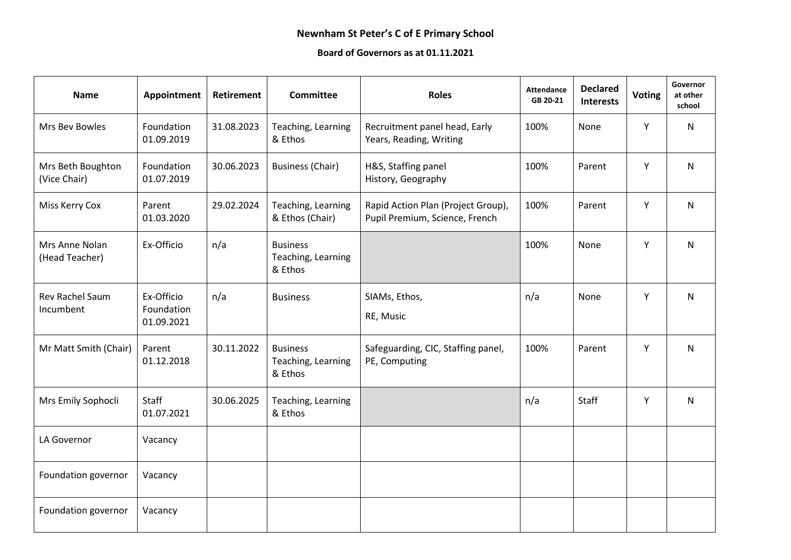## **Newnham St Peter's C of E Primary School**

## **Board of Governors as at 01.11.2021**

| <b>Name</b>                         | Appointment                            | <b>Retirement</b> | <b>Committee</b>                                 | <b>Roles</b>                                                         | <b>Attendance</b><br>GB 20-21 | <b>Declared</b><br><b>Interests</b> | <b>Voting</b> | Governor<br>at other<br>school |
|-------------------------------------|----------------------------------------|-------------------|--------------------------------------------------|----------------------------------------------------------------------|-------------------------------|-------------------------------------|---------------|--------------------------------|
| Mrs Bev Bowles                      | Foundation<br>01.09.2019               | 31.08.2023        | Teaching, Learning<br>& Ethos                    | Recruitment panel head, Early<br>Years, Reading, Writing             | 100%                          | None                                | Y             | N                              |
| Mrs Beth Boughton<br>(Vice Chair)   | Foundation<br>01.07.2019               | 30.06.2023        | <b>Business (Chair)</b>                          | H&S, Staffing panel<br>History, Geography                            | 100%                          | Parent                              | Y             | N                              |
| Miss Kerry Cox                      | Parent<br>01.03.2020                   | 29.02.2024        | Teaching, Learning<br>& Ethos (Chair)            | Rapid Action Plan (Project Group),<br>Pupil Premium, Science, French | 100%                          | Parent                              | Υ             | N                              |
| Mrs Anne Nolan<br>(Head Teacher)    | Ex-Officio                             | n/a               | <b>Business</b><br>Teaching, Learning<br>& Ethos |                                                                      | 100%                          | None                                | Y             | N                              |
| <b>Rev Rachel Saum</b><br>Incumbent | Ex-Officio<br>Foundation<br>01.09.2021 | n/a               | <b>Business</b>                                  | SIAMs, Ethos,<br>RE, Music                                           | n/a                           | None                                | Y             | N                              |
| Mr Matt Smith (Chair)               | Parent<br>01.12.2018                   | 30.11.2022        | <b>Business</b><br>Teaching, Learning<br>& Ethos | Safeguarding, CIC, Staffing panel,<br>PE, Computing                  | 100%                          | Parent                              | Y             | N                              |
| Mrs Emily Sophocli                  | Staff<br>01.07.2021                    | 30.06.2025        | Teaching, Learning<br>& Ethos                    |                                                                      | n/a                           | Staff                               | Υ             | N                              |
| LA Governor                         | Vacancy                                |                   |                                                  |                                                                      |                               |                                     |               |                                |
| Foundation governor                 | Vacancy                                |                   |                                                  |                                                                      |                               |                                     |               |                                |
| Foundation governor                 | Vacancy                                |                   |                                                  |                                                                      |                               |                                     |               |                                |